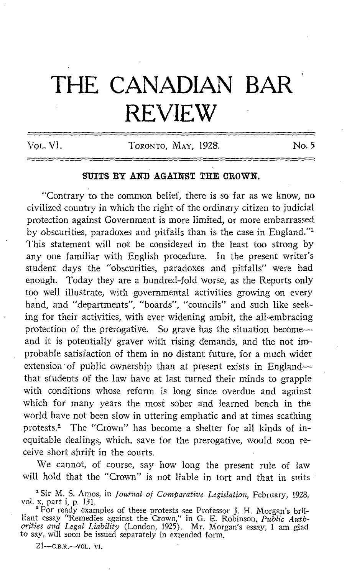## THE CANADIAN BAR REVIEW

VOL. VI. TORONTO, MAY, 1928. No. 5

## SUITS BY AND AGAINST THE CROWN.

"Contrary to the common belief, there is so far as we know, no civilized country in which the right of the ordinary citizen to judicial protection against Government is more limited, or more embarrassed by obscurities, paradoxes and pitfalls than is the case in England." $1$ This statement will not be considered in the least too strong by any one familiar with English procedure. In the present writer's student days the "obscurities, paradoxes and pitfalls" were bad enough. Today they are a hundred-fold worse, as the Reports only too well illustrate, with governmental activities growing on every hand, and "departments", "boards", "councils" and such like seeking for their activities, with ever widening ambit, the all-embracing protection of the prerogative. So grave has the situation becomeand it is potentially graver with rising demands, and the not improbable satisfaction of them in no distant future, for a much wider extension of public ownership than at present exists in Englandthat students of the law have at last turned their minds to grapple with conditions whose reform is long since overdue and against which for many years the most sober and learned bench in the world have not been slow in uttering emphatic and at times scathing protests.<sup>2</sup> The "Crown" has become a shelter for all kinds of inequitable dealings, which, save for the prerogative, would soon receive short shrift in the courts.

We cannot, of course, say how long the present rule of law will hold that the "Crown" is not liable in tort and that in suits

 $21 - C.B.R. - VOL$ . VI.

<sup>&</sup>lt;sup>1</sup> Sir M. S. Amos, in Journal of Comparative Legislation, February, 1928, vol. x, part i, p. 131.

of the complete of these protests see Professor J. H. Morgan's bril-<br>A for ready examples against the Crown'' in C. E. Pohineen, Bublie Author liant essay "Remedies against the Crown," in G. E. Robinson, Public Auth*orities and Legal Liability* (London, 1925). Mr. Morgan's essay, I am glad<br>to say will soon be issued concretely in artended form. to say, will soon be issued separately in extended form.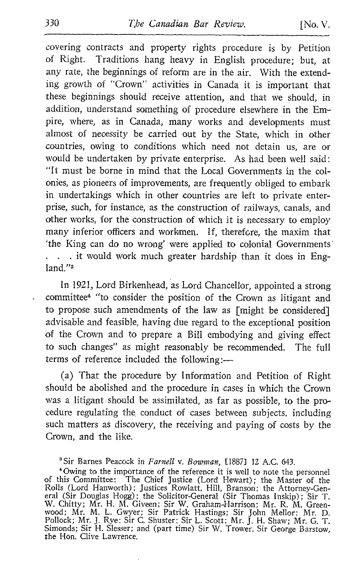covering contracts and property rights procedure is by Petition of Right. Traditions hang heavy in English procedure; but, at any rate, the beginnings of reform are in the air. With the extending growth of "Crown" activities in Canada it is important that these beginnings should receive attention, and that we should, in addition, understand something of procedure elsewhere in the Empire, where, as in Canada, many works and developments must almost of necessity be carried out by the State, which in other countries, owing to conditions which need not detain us, are or would be undertaken by private enterprise. As had been well said : "It must be borne in mind that the Local Governments in the colonies, as pioneers of improvements, are frequently obliged to embark in undertakings which in other countries are left to private enterprise, such, for instance, as the construction of railways, canals, and other works, for the construction of which it is necessary to employ many inferior officers and workmen. If, therefore, the maxim that `the King can do no wrong' were applied to colonial Governments' . . . it would work much greater hardship than it does in England."3

In 1921, Lord Birkenhead, as Lord Chancellor, appointed a strong committee<sup>4</sup> "to consider the position of the Crown as litigant and to propose such amendments of the law as [might be considered] advisable and feasible, having due regard to the exceptional position of the Crown and to prepare a Bill embodying and giving effect to such changes" as might reasonably be recommended. The full terms of reference included the following :-

(a) That the procedure by Information and Petition of Right should be abolished and the procedure in cases in which the Crown was a litigant should be assimilated, as far as possible, to the procedure regulating the, conduct of cases between subjects, including such matters as discovery, the receiving and paying of costs by the Crown, and the like.

<sup>&</sup>lt;sup>3</sup> Sir Barnes Peacock in *Farnell v. Bowman*, [1887] 12 A.C. 643.

<sup>}</sup> Owing to the importance of the reference it is well to note the personnel of this Committee: The Chief Justice (Lord Hewart) ; the Master of the Rolls (Lord Hanworth); Justices Rowlatt, Hill, Branson; the Attorney-General (Sir Douglas Hogg); the Solicitor-General (Sir Thomas Inskip); Sir T.<br>W. Chitty; Mr. H. M. Giveen; Sir W. Graham-Harrison; Mr. R. M. Greenwood; M Pollock; Mr. J. Rye; Sir C. Shuster; Sir L. Scott; Mr. J. H. Shaw; Mr. G. T. Simonds; Sir H. Slesser; and (part time) Sir W. Trower, Sir George Barstow, the Hon. Clive Lawrence.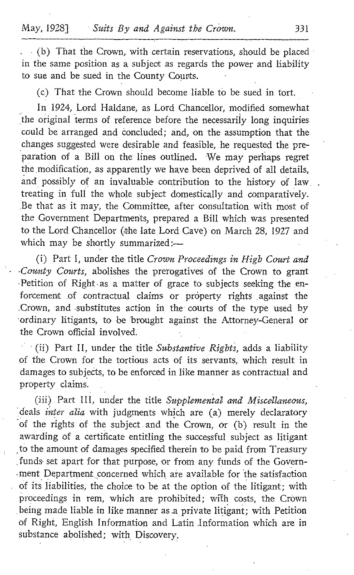(b) That the Crown, with certain reservations, should be placed in the same position as a subject as regards the power and liability to sue and be sued in the County Courts.

(c) That the Crown should become liable to be sued in tort.

In 1924, Lord Haldane, as Lord Chancellor, modified somewhat the original terms of reference before the necessarily long inquiries could be arranged and concluded ; and, on the assumption that the changes suggested were desirable and feasible, he requested the preparation of a Bill on the lines outlined. We may perhaps regret the modification, as apparently we have been deprived of all details, and possibly of an invaluable contribution to the history of law . treating in, full the whole subject domestically and comparatively. Be that as it may, the Committee, after consultation with most of the Government Departments, prepared a Bill which was presented to the Lord Chancellor (the late Lord Cave) on March 28, 1927 and which may be shortly summarized :-

(i) Part I, under the title Crown Proceedings in High Court and -County Courts, abolishes the prerogatives of the Crown to grant Petition of Right as a matter of grace to subjects seeking the enforcement of contractual claims or property rights against the .Crown, and substitutes action in the courts of the type used by ordinary litigants, to be brought against the Attorney-General or the Crown official involved.

 $(i)$  Part II, under the title Substantive Rights, adds a liability of the Crown for the tortious acts of its servants, which result in damages to subjects, to be enforced in like manner as contractual and property claims.

(iii) Part III, under the title Supplemental and Miscellaneous, deals inter alia with judgments which are (a) merely declaratory of the rights of the subject .and the Crown, or (b) result in the awarding of a certificate entitling the successful subject as litigant to the amount of damages specified therein to be paid from Treasury ,funds set apart for that purpose, or from any funds of the Government Department concerned which are available for the satisfaction of its liabilities, the choice to be at the option of the litigant; with proceedings in rem, which are prohibited; with costs, the Crown being made liable in like manner as a private litigant; with Petition of Right, English Information and Latin .Information which are in substance abolished; with Discovery.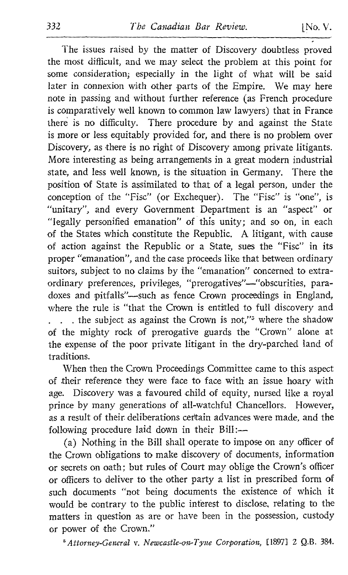The issues raised by the matter of Discovery doubtless proved the most difficult, and we may select the problem at this point for some consideration; especially in the light of what will be said later in connexion with other parts of the Empire. We may here note in passing and without further reference (as French procedure is comparatively well known to common law lawyers) that in France there is no difficulty. There procedure by and against the State is more or less equitably provided for, and there is no problem over Discovery, as there is no right of Discovery among private litigants. More interesting as being arrangements in a great modern industrial state, and less well known, is the situation in Germany. There the position of State is assimilated to that of a legal person, under the conception of the "Fisc" (or Exchequer). The "Fisc" is "one", is "unitary", and every Government Department is an "aspect" or "legally personified emanation" of this unity, and so on, in each of the States which constitute the Republic . A litigant, with cause of action against the Republic or a State, sues the "Fist" in its proper "emanation", and the case proceeds like that between ordinary suitors, subject to no claims by the "emanation" concerned to extraordinary preferences, privileges, "prerogatives"-"obscurities, paradoxes and pitfalls"-such as fence Crown proceedings in England, where the rule is "that the Crown is entitled to full discovery and  $\therefore$  the subject as against the Crown is not,"<sup>5</sup> where the shadow of the mighty rock of prerogative guards the "Crown" alone at the expense of the poor private litigant in the dry-parched land of traditions.

When then the Crown Proceedings Committee came to this aspect of their reference they were face to face with an issue hoary with age. Discovery was a favoured child of equity, nursed like a royal prince by many generations of all-watchful Chancellors. However, as a result of their deliberations certain advances were made, and the following procedure laid down in their Bill:-

(a) Nothing in the Bill shall operate to impose on any officer of the Crown obligations to make discovery of documents, information or secrets on oath; but rules of Court may oblige the Crown's officer or officers to deliver to the other party a list in prescribed form of such documents "not being documents the existence of which it would be contrary to the public interest to disclose, relating to the matters in question as are or have been in the possession, custody or power of the Crown."

'Attorney-General v. Newcastle-on-Tyne Corporation, [18971 <sup>2</sup> Q.B . 384.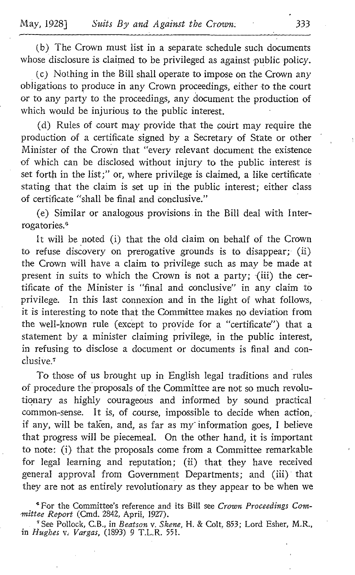(b) The Crown must list in a separate schedule such documents whose disclosure is claimed to be privileged as against public policy.

(c) Nothing in the Bill shall operate to impose on the Crown any obligations to produce in any Crown proceedings, either to the court or to any party to the proceedings, any document the production of which would be injurious to the public interest.

(d) Rules of court may provide that the court may require the production of a certificate signed by a Secretary of State or other Minister of the Crown that "every relevant document the existence of which can be disclosed without injury to the public interest is set forth in the list;" or, where privilege is claimed, a like certificate stating that the claim is set up in the public interest; either class of certificate "shall be final and conclusive ."

(e) Similar or analogous provisions in the Bill deal with Interrogatories,'

It will be noted (i) that the old claim on behalf of the Crown to refuse discovery on prerogative grounds is to disappear; (ii) the Crown will have a claim to privilege such as may be made at present in suits to which the Crown is not a party;  $(iii)$  the certificate of the Minister is "final and conclusive" in any claim to privilege. In this last connexion and in the light of what follows, it is interesting to note that the Committee makes no deviation from the well-known rule (except to provide for a "certificate") that a statement by a minister claiming privilege, in the public interest, in refusing to disclose a document or documents is final and conclusive.<sup>7</sup>

To those of us brought up in English legal traditions and rules of procedure the proposals of the Committee are not so much revolutionary as highly courageous and informed by sound practical common-sense. It is, of course, impossible to decide when action, if any, will be taken, and, as far as my information goes, I believe that progress will be piecemeal. On the other hand, it is important to note: (i) that the proposals come from a Committee remarkable for legal learning and reputation; (ii) that they have received general approval from Government Departments; and (iii) that they are not as entirely revolutionary as they appear to be when we

<sup>4</sup> For the Committee's reference and its Bill see Crown Proceedings Committee Report (Cmd. 2842, April, 1927).

'See Pollock, C.B ., in Beatson v. Skene, H. & Colt, 853; Lord Esher, M.R., in Hughes v. Vargas, (1893) 9 T.L.R. 551.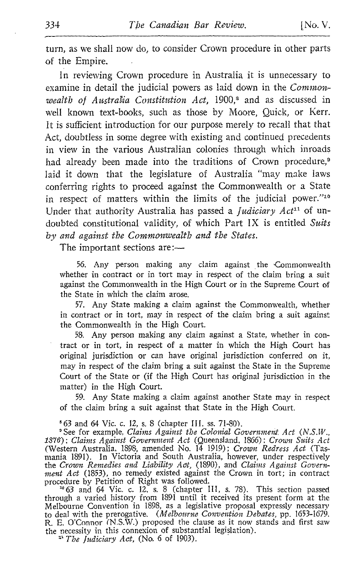turn, as we shall now do, to consider Crown procedure in other parts of the Empire.

In reviewing Crown procedure in Australia it is unnecessary to examine in detail the judicial powers as laid down in the Commonwealth of Australia Constitution Act,  $1900$ ,<sup>8</sup> and as discussed in well known text-books, such as those by Moore, Quick, or Kerr. It is sufficient introduction for our purpose merely to recall that that Act, doubtless in some degree with existing and continued precedents in view in the various Australian colonies through which inroads had already been made into the traditions of Crown procedure,<sup>9</sup> laid it down that the legislature of Australia "may make laws conferring rights to proceed against the Commonwealth or a State in respect of matters within the limits of the judicial power."<sup>10</sup> Under that authority Australia has passed a *Judiciary Act*<sup>11</sup> of undoubted constitutional validity, of which Part IX is entitled Suits by and against the Commonwealth and the States.

The important sections are:-

56. Any person making any claim against the Commonwealth whether in contract or in tort may in respect of the claim bring a suit against the Commonwealth in the High Court or in the Supreme Court of the State in which the claim arose .

57. Any State making a claim against the Commonwealth, whether in contract or in tort, may in respect of the claim bring a suit against the Commonwealth in the High Court.

58, Any person making any claim against <sup>a</sup> State, whether in contract or in tort, in respect of a matter in which the High Court has original jurisdiction or can have original jurisdiction conferred on it, may in respect of the claim bring <sup>a</sup> suit against the State in the Supreme Court of the State or (if the High Court has original jurisdiction in the matter) in the High Court.

59. Any State making a claim against another State may in respect of the claim bring a suit against that State in the High Court.

<sup>6</sup> 63 and 64 Vic. c. 12, s. 8 (chapter III. ss. 71-80).<br><sup>9</sup> See for example, *Claims Against the Colonial Government*, Act (N.S.W., <sup>o</sup>See for example, Claims Against the Colonial Government Act (N.S.W., 1876) ; Claims Against Government Act (Queensland, 1866) : Crown Suits Act<br>(Western Australia, 1898, amended No. 14 1919) ; Crown Redress Act (Tasmania 1891). In Victoria and South Australia, however, under respectively<br>the Crown Remedies and Liability Act, (1890), and Claims Against Government Act (1853), no remedy existed against the Crown in tort; in contract procedure by Petition of Right was followed.

'°63 and 64 Vic. <sup>c</sup> . 12, <sup>s</sup> . 8 (chapter 111, <sup>s</sup> . 78) . This section passed through <sup>a</sup> varied history from 1891 until it received its present form at the Melbourne Convention in 1898, as a legislative proposal expressly necessary to deal with the prerogative. (Melbourne Convention Debates, pp. 1653-1679 . R. E. O'Connor (N.S.W.) proposed the clause as it now stands and first saw the necessity in this connexion of substantial legislation).  $\mu$ <sup>1</sup> The Judiciary Act, (No. 6 of 1903).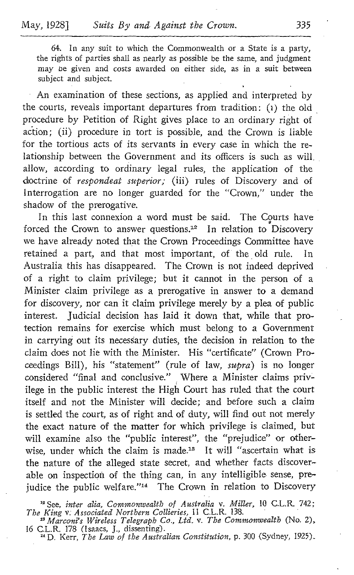64. In any suit to which the Commonwealth or a State is a party, the rights of parties shall as nearly as possible be the same, and judgment may be given and costs awarded on either side, as in a suit between subject and subject.

An examination of these sections, as applied and interpreted by the courts, reveals important departures from tradition: (1) the old procedure by Petition of Right gives place to an ordinary right of action ; (ii) procedure in tort is possible, and the Crown is liable for the tortious acts of its servants in every case in which the relationship between the Government and its officers is such as will allow, according to ordinary legal rules, the application of the doctrine of respondeat superior; (iii) rules of Discovery and of Interrogation are no longer guarded for the "Crown," under the shadow of the prerogative.

In this last connexion a word must be said. The Courts have forced the Crown to answer questions.<sup>12</sup> In relation to Discovery we have already noted that the Crown Proceedings Committee have retained a part, and that most important, of the old rule. In Australia this has disappeared. The Crown is not indeed deprived of a right to claim privilege; but it cannot in the person of a Minister claim privilege as a prerogative in answer to a demand for discovery, nor can it claim privilege merely by a plea of public interest. Judicial decision has laid it down that, while that protection remains for exercise which must belong to a Government in carrying out its necessary duties, the decision in relation to the claim does not lie with the Minister. His "certificate" (Crown Proceedings Bill), his "statement" (rule of law, supra) is no longer considered "final and conclusive." Where a Minister claims privilege in the public interest the High Court has ruled that the court itself and not the Minister will decide; and before such a claim is settled the court, as of right and of duty, will find out not merely the exact nature of the matter for which privilege is claimed, but will examine also the "public interest", the "prejudice" or other-<br>wise, under which the claim is made.<sup>18</sup> It will "ascertain what is ceedings Bill), his "statement" (rule of law, *supra*) is no longer<br>considered "final and conclusive." Where a Minister claims priv-<br>ilege in the public interest the High Court has ruled that the court<br>itself and not the the nature of the alleged state secret, and whether facts discoverable on inspection of the thing can, in any intelligible sense, prejudice the public welfare."<sup>14</sup> The Crown in relation to Discovery

<sup>&</sup>lt;sup>22</sup> See, inter alia, Commonwealth of Australia v. Miller, 10 C.L.R. 742; The King v. Associated Northern Collieries, 11 C.L.R. 138.

Marconi's Wireless Telegraph Co., Ltd. v. The Commonwealth (No. 2), 16 C.L.R. 178 (Isaacs, J., dissenting).<br><sup>14</sup> D. Kerr, *The Law of the Australian Constitution*, p. 300 (Sydney, 1925).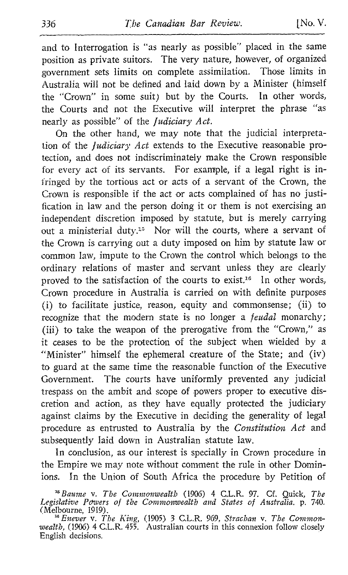and to Interrogation is "as nearly as possible" placed in the same position as private suitors. The very nature, however, of organized government sets limits on complete assimilation. Those limits in Australia will not be defined and laid down by a Minister (himself the "Crown" in some suit) but by the Courts. In other words, the Courts and not the Executive will interpret the phrase "as nearly as possible" of the Judiciary Act.

On the other hand, we may note that the judicial interpretation of the Judiciary Act extends to the Executive reasonable protection, and does not indiscriminately make the Crown responsible for every act of its servants. For example, if a legal right is infringed by the tortious act or acts of a servant of the Crown, the Crown is responsible if the act or acts complained of has no justification in law and the person doing it or them is not exercising an independent discretion imposed by statute, but is merely carrying out a ministerial duty.<sup>15</sup> Nor will the courts, where a servant of the Crown is carrying out a duty imposed on him by statute law or common law, impute to the Crown the control which belongs to the ordinary relations of master and servant unless they are clearly proved to the satisfaction of the courts to exist.<sup>16</sup> In other words, Crown procedure in Australia is carried on with definite purposes (i) to facilitate justice, reason, equity and commonsense; (ii) to recognize that the modern state is no longer a *feudal* monarchy; (iii) to take the weapon of the prerogative from the "Crown," as it ceases to be the protection of the subject when wielded by a "Minister" himself the ephemeral creature of the State; and (iv) to guard at the same time the reasonable function of the Executive Government. The courts have uniformly prevented any judicial trespass on the ambit and scope of powers proper to executive discretion and action, as they have equally protected the judiciary against claims by the Executive in deciding the generality of legal procedure as entrusted to Australia by the Constitution Act and subsequently laid down in Australian statute law.

In conclusion, as our interest is specially in Crown procedure in the Empire we may note without comment the rule in other Dominions. In the Union of South Africa the procedure by Petition of

<sup>&</sup>lt;sup>15</sup> Baume v. The Commonwealth (1906) 4 C.L.R. 97. Cf. Quick, The Legislative Powers of the Commonwealth and States of Australia. p. 740.<br>(Melbourne, 1919).

<sup>&</sup>lt;sup>16</sup> Enever v. The King, (1905) 3 C.L.R. 969, Strachan v. The Commonwealth, (1906) 4 C.L.R. 455. Australian courts in this connexion follow closely English decisions.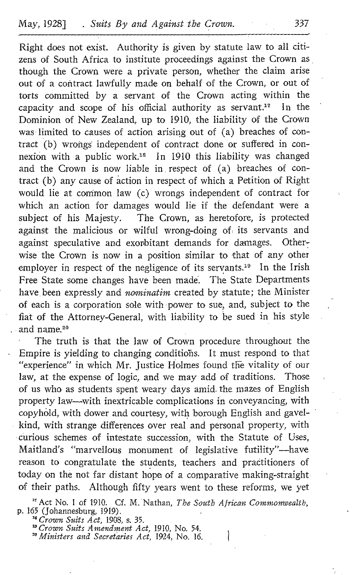Right does not exist. Authority is given by statute law to all citizens of South Africa to institute proceedings against the Crown as though the Crown were a private person, whether the claim arise out of a contract lawfully made on behalf of the Crown, or out of torts committed by a servant of the Crown acting within the capacity and scope of his official authority as servant.<sup>17</sup> In the Dominion of New Zealand, up to 1910, the liability of the Crown was limited to causes of action arising out of (a) breaches of contract (b) wrongs' independent of contract done or suffered in connexion with a public work." In 1910 this liability was changed and the Crown is now liable in respect of (a) breaches of contract (b) any cause of action in respect of which a Petition of Right would lie at common law (c) wrongs independent of contract for which an action for damages would lie if the defendant were a subject of his Majesty. The Crown, as heretofore, is protected The Crown, as heretofore, is protected against the malicious or wilful wrong-doing of, its servants and against speculative and exorbitant demands for damages. Otherwise the Crown is now in a position similar to that of any other<br>employer in respect of the negligence of its servants.<sup>19</sup> In the Irish and the Crown is now liable in respect of (a) breaches of con-<br>tract (b) any cause of action in respect of which a Petition of Right<br>would lie at common law (c) wrongs independent of contract for<br>which an action for damag Free State some changes have been made'. The State Departments have been expressly and nominatim created by statute; the Minister of each is a corporation sole with power to sue, and, subject to the fiat of the Attorney-General, with liability to be sued in his style and name. <sup>2</sup>°

The truth is that the law of Crown procedure throughout the Empire is yielding to changing conditions. It must respond to that "experience" in which Mr. Justice Holmes found the vitality of our law, at the expense of logic, and we may add of traditions. Those of us who as students spent weary days amid. the mazes of English property law-with inextricable complications in conveyancing, with copyh6ld, with dower and courtesy, with borough English and gavelkind, with strange differences over real and personal property, with curious schemes of intestate succession, with the Statute of Uses, Maitland's "marvellous monument of legislative futility"-have reason to congratulate the students, teachers and practitioners of today on the not far distant hope of a comparative making-straight of their paths. Although fifty years went to these reforms, we yet

<sup>17</sup> Act No. 1 of 1910. Cf. M. Nathan, *The South African Commonwealth*, p. 165 (Johannesburg, 1919).

<sup>18</sup> Crown Suits Act, 1908, s. 35.

<sup>19</sup> Crown Suits Amendment Act, 1910, No. 54.

"Ministers and Secretaries Act, 1924, No. 16.